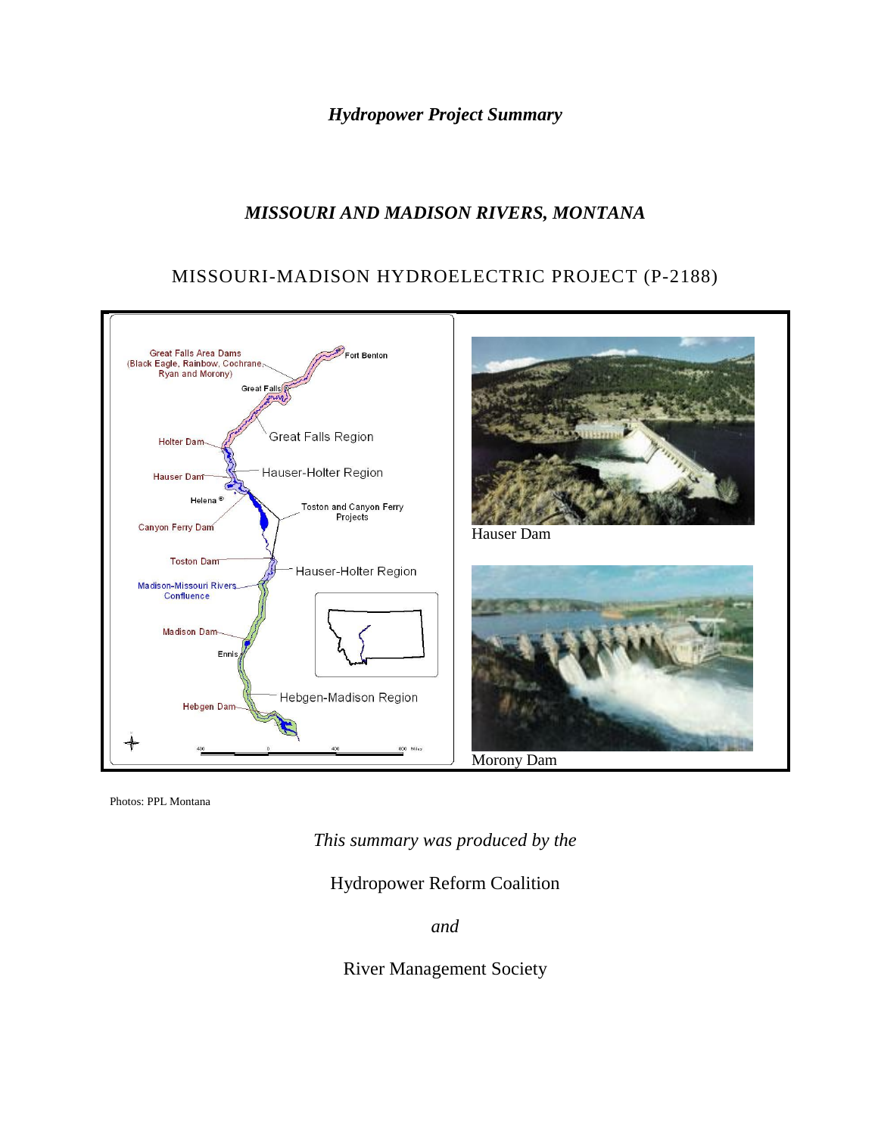*Hydropower Project Summary*

# *MISSOURI AND MADISON RIVERS, MONTANA*

## MISSOURI-MADISON HYDROELECTRIC PROJECT (P-2188)



Photos: PPL Montana

*This summary was produced by the*

Hydropower Reform Coalition

*and*

River Management Society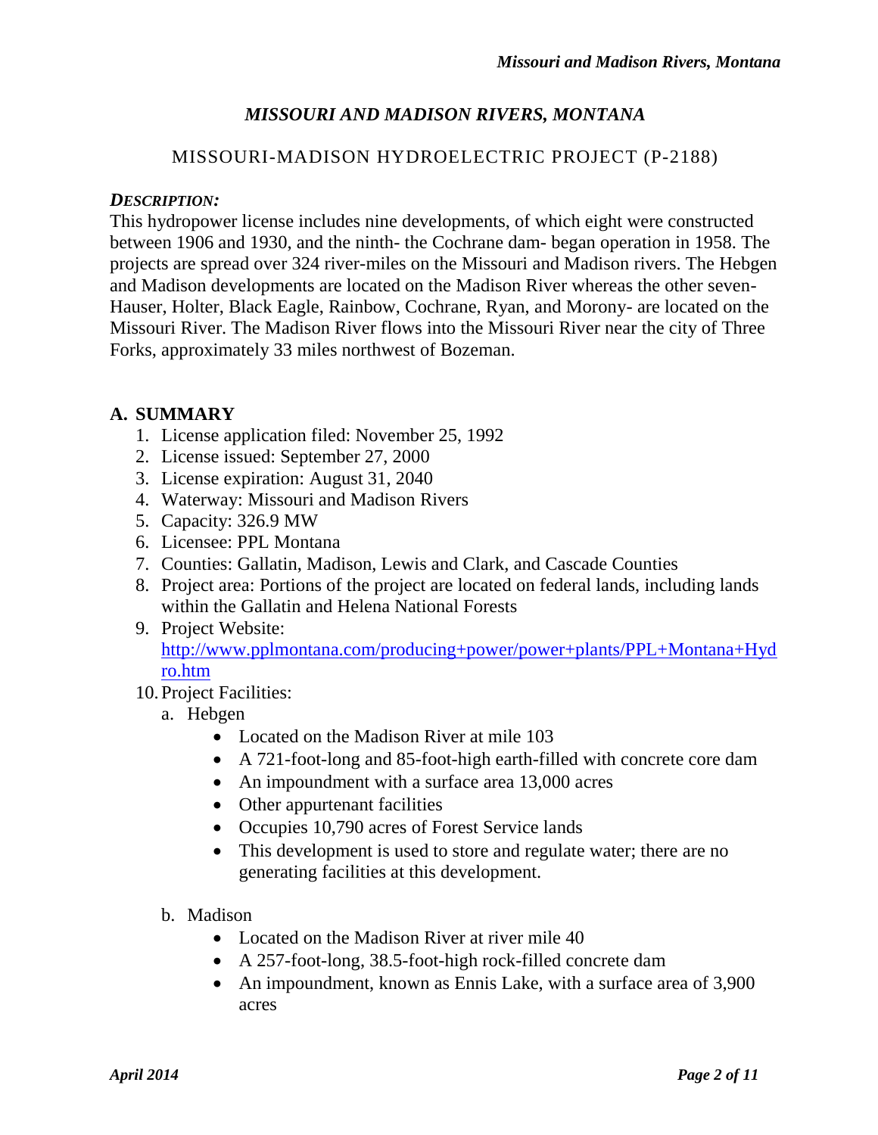# *MISSOURI AND MADISON RIVERS, MONTANA*

## MISSOURI-MADISON HYDROELECTRIC PROJECT (P-2188)

#### *DESCRIPTION:*

This hydropower license includes nine developments, of which eight were constructed between 1906 and 1930, and the ninth- the Cochrane dam- began operation in 1958. The projects are spread over 324 river-miles on the Missouri and Madison rivers. The Hebgen and Madison developments are located on the Madison River whereas the other seven-Hauser, Holter, Black Eagle, Rainbow, Cochrane, Ryan, and Morony- are located on the Missouri River. The Madison River flows into the Missouri River near the city of Three Forks, approximately 33 miles northwest of Bozeman.

### **A. SUMMARY**

- 1. License application filed: November 25, 1992
- 2. License issued: September 27, 2000
- 3. License expiration: August 31, 2040
- 4. Waterway: Missouri and Madison Rivers
- 5. Capacity: 326.9 MW
- 6. Licensee: PPL Montana
- 7. Counties: Gallatin, Madison, Lewis and Clark, and Cascade Counties
- 8. Project area: Portions of the project are located on federal lands, including lands within the Gallatin and Helena National Forests
- 9. Project Website: [http://www.pplmontana.com/producing+power/power+plants/PPL+Montana+Hyd](http://www.pplmontana.com/producing+power/power+plants/PPL+Montana+Hydro.htm) [ro.htm](http://www.pplmontana.com/producing+power/power+plants/PPL+Montana+Hydro.htm)
- 10.Project Facilities:
	- a. Hebgen
		- Located on the Madison River at mile 103
		- A 721-foot-long and 85-foot-high earth-filled with concrete core dam
		- An impoundment with a surface area 13,000 acres
		- Other appurtenant facilities
		- Occupies 10,790 acres of Forest Service lands
		- This development is used to store and regulate water; there are no generating facilities at this development.
	- b. Madison
		- Located on the Madison River at river mile 40
		- A 257-foot-long, 38.5-foot-high rock-filled concrete dam
		- An impoundment, known as Ennis Lake, with a surface area of 3,900 acres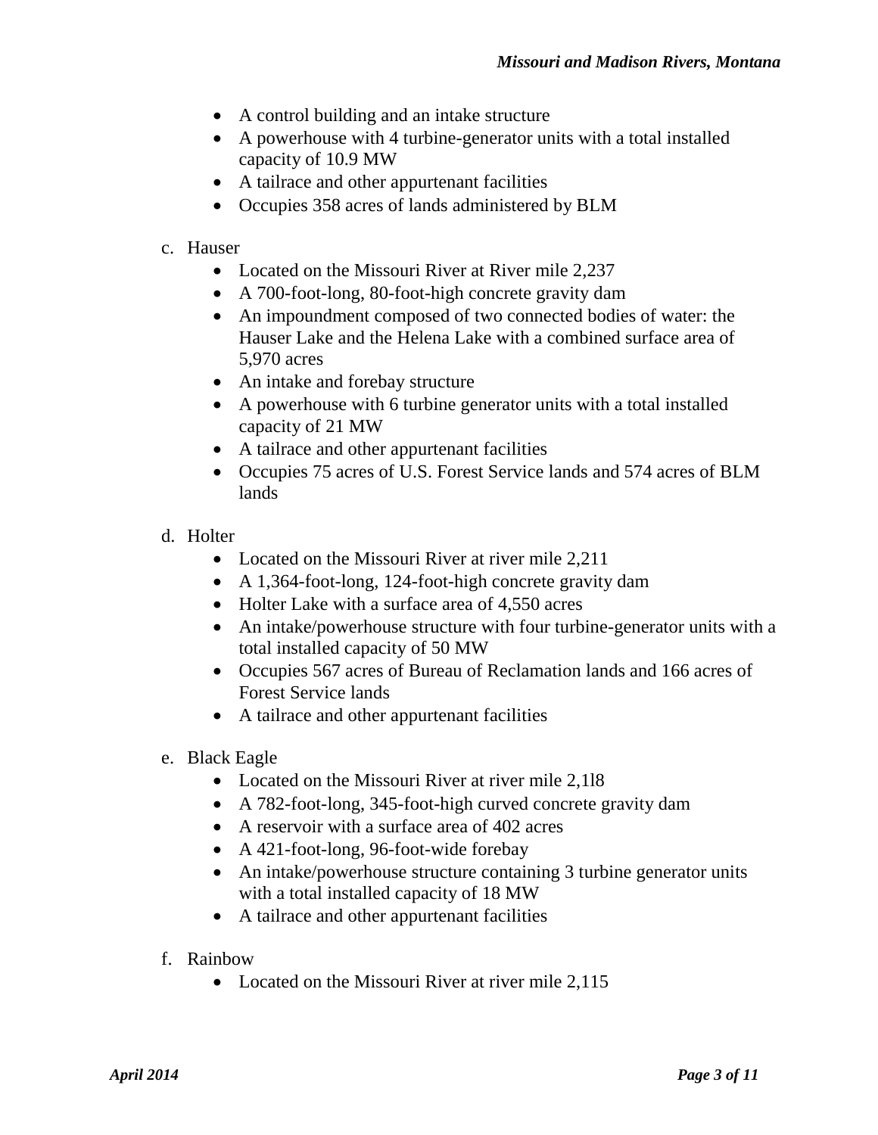- A control building and an intake structure
- A powerhouse with 4 turbine-generator units with a total installed capacity of 10.9 MW
- A tailrace and other appurtenant facilities
- Occupies 358 acres of lands administered by BLM
- c. Hauser
	- Located on the Missouri River at River mile 2,237
	- A 700-foot-long, 80-foot-high concrete gravity dam
	- An impoundment composed of two connected bodies of water: the Hauser Lake and the Helena Lake with a combined surface area of 5,970 acres
	- An intake and forebay structure
	- A powerhouse with 6 turbine generator units with a total installed capacity of 21 MW
	- A tailrace and other appurtenant facilities
	- Occupies 75 acres of U.S. Forest Service lands and 574 acres of BLM lands
- d. Holter
	- Located on the Missouri River at river mile 2,211
	- A 1,364-foot-long, 124-foot-high concrete gravity dam
	- Holter Lake with a surface area of 4,550 acres
	- An intake/powerhouse structure with four turbine-generator units with a total installed capacity of 50 MW
	- Occupies 567 acres of Bureau of Reclamation lands and 166 acres of Forest Service lands
	- A tailrace and other appurtenant facilities
- e. Black Eagle
	- Located on the Missouri River at river mile 2,118
	- A 782-foot-long, 345-foot-high curved concrete gravity dam
	- A reservoir with a surface area of 402 acres
	- A 421-foot-long, 96-foot-wide forebay
	- An intake/powerhouse structure containing 3 turbine generator units with a total installed capacity of 18 MW
	- A tailrace and other appurtenant facilities
- f. Rainbow
	- Located on the Missouri River at river mile 2,115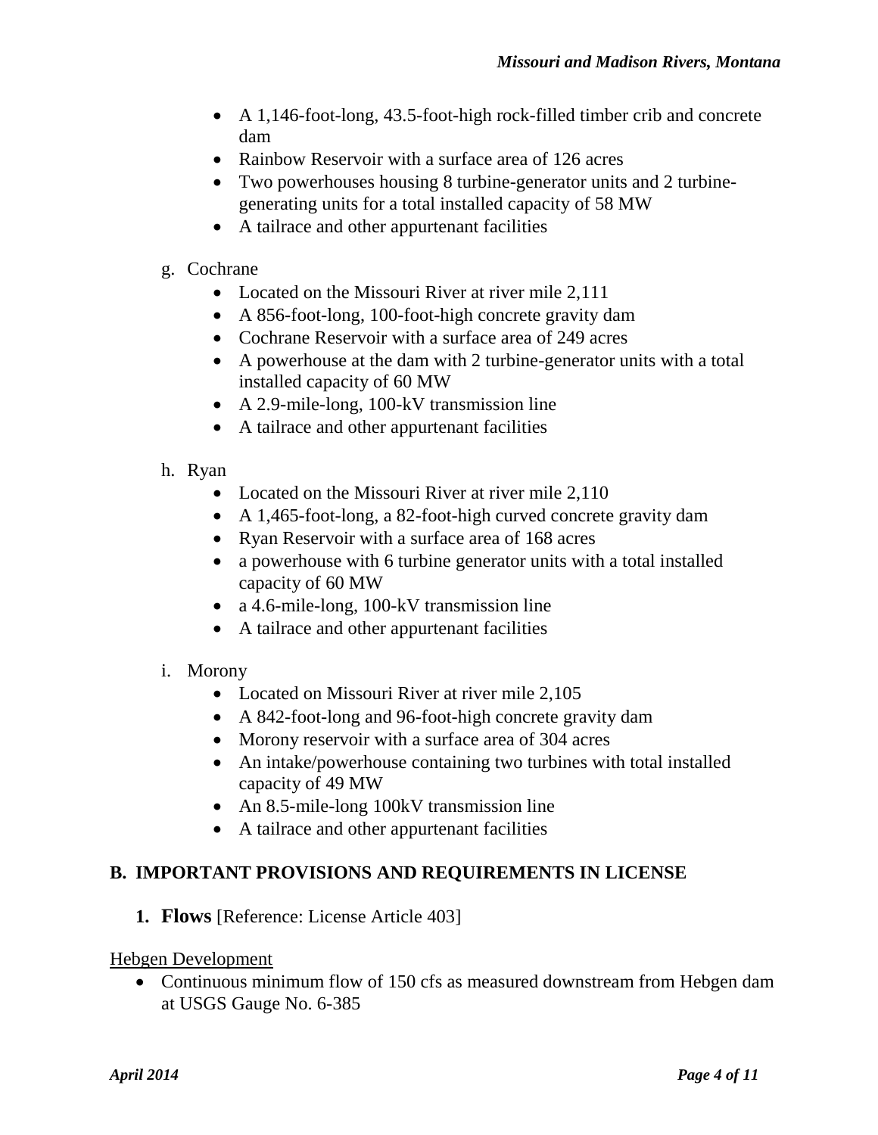- A 1,146-foot-long, 43.5-foot-high rock-filled timber crib and concrete dam
- Rainbow Reservoir with a surface area of 126 acres
- Two powerhouses housing 8 turbine-generator units and 2 turbinegenerating units for a total installed capacity of 58 MW
- A tailrace and other appurtenant facilities
- g. Cochrane
	- Located on the Missouri River at river mile 2,111
	- A 856-foot-long, 100-foot-high concrete gravity dam
	- Cochrane Reservoir with a surface area of 249 acres
	- A powerhouse at the dam with 2 turbine-generator units with a total installed capacity of 60 MW
	- A 2.9-mile-long, 100-kV transmission line
	- A tailrace and other appurtenant facilities
- h. Ryan
	- Located on the Missouri River at river mile 2,110
	- A 1,465-foot-long, a 82-foot-high curved concrete gravity dam
	- Ryan Reservoir with a surface area of 168 acres
	- a powerhouse with 6 turbine generator units with a total installed capacity of 60 MW
	- a 4.6-mile-long, 100-kV transmission line
	- A tailrace and other appurtenant facilities
- i. Morony
	- Located on Missouri River at river mile 2,105
	- A 842-foot-long and 96-foot-high concrete gravity dam
	- Morony reservoir with a surface area of 304 acres
	- An intake/powerhouse containing two turbines with total installed capacity of 49 MW
	- An 8.5-mile-long 100kV transmission line
	- A tailrace and other appurtenant facilities

### **B. IMPORTANT PROVISIONS AND REQUIREMENTS IN LICENSE**

**1. Flows** [Reference: License Article 403]

### Hebgen Development

• Continuous minimum flow of 150 cfs as measured downstream from Hebgen dam at USGS Gauge No. 6-385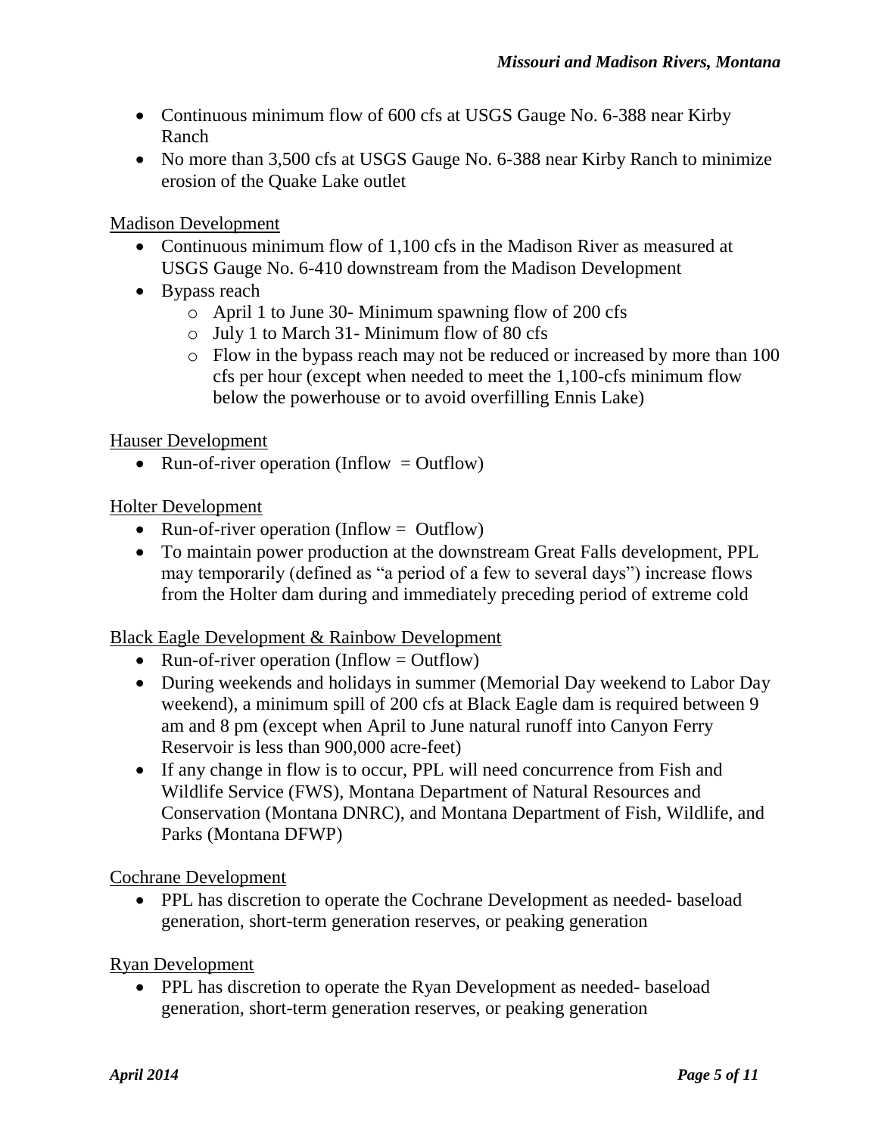- Continuous minimum flow of 600 cfs at USGS Gauge No. 6-388 near Kirby Ranch
- No more than 3,500 cfs at USGS Gauge No. 6-388 near Kirby Ranch to minimize erosion of the Quake Lake outlet

Madison Development

- Continuous minimum flow of 1,100 cfs in the Madison River as measured at USGS Gauge No. 6-410 downstream from the Madison Development
- Bypass reach
	- o April 1 to June 30- Minimum spawning flow of 200 cfs
	- o July 1 to March 31- Minimum flow of 80 cfs
	- o Flow in the bypass reach may not be reduced or increased by more than 100 cfs per hour (except when needed to meet the 1,100-cfs minimum flow below the powerhouse or to avoid overfilling Ennis Lake)

Hauser Development

• Run-of-river operation (Inflow  $=$  Outflow)

### Holter Development

- Run-of-river operation (Inflow  $=$  Outflow)
- To maintain power production at the downstream Great Falls development, PPL may temporarily (defined as "a period of a few to several days") increase flows from the Holter dam during and immediately preceding period of extreme cold

### Black Eagle Development & Rainbow Development

- Run-of-river operation (Inflow  $=$  Outflow)
- During weekends and holidays in summer (Memorial Day weekend to Labor Day weekend), a minimum spill of 200 cfs at Black Eagle dam is required between 9 am and 8 pm (except when April to June natural runoff into Canyon Ferry Reservoir is less than 900,000 acre-feet)
- If any change in flow is to occur, PPL will need concurrence from Fish and Wildlife Service (FWS), Montana Department of Natural Resources and Conservation (Montana DNRC), and Montana Department of Fish, Wildlife, and Parks (Montana DFWP)

Cochrane Development

• PPL has discretion to operate the Cochrane Development as needed- baseload generation, short-term generation reserves, or peaking generation

Ryan Development

• PPL has discretion to operate the Ryan Development as needed- baseload generation, short-term generation reserves, or peaking generation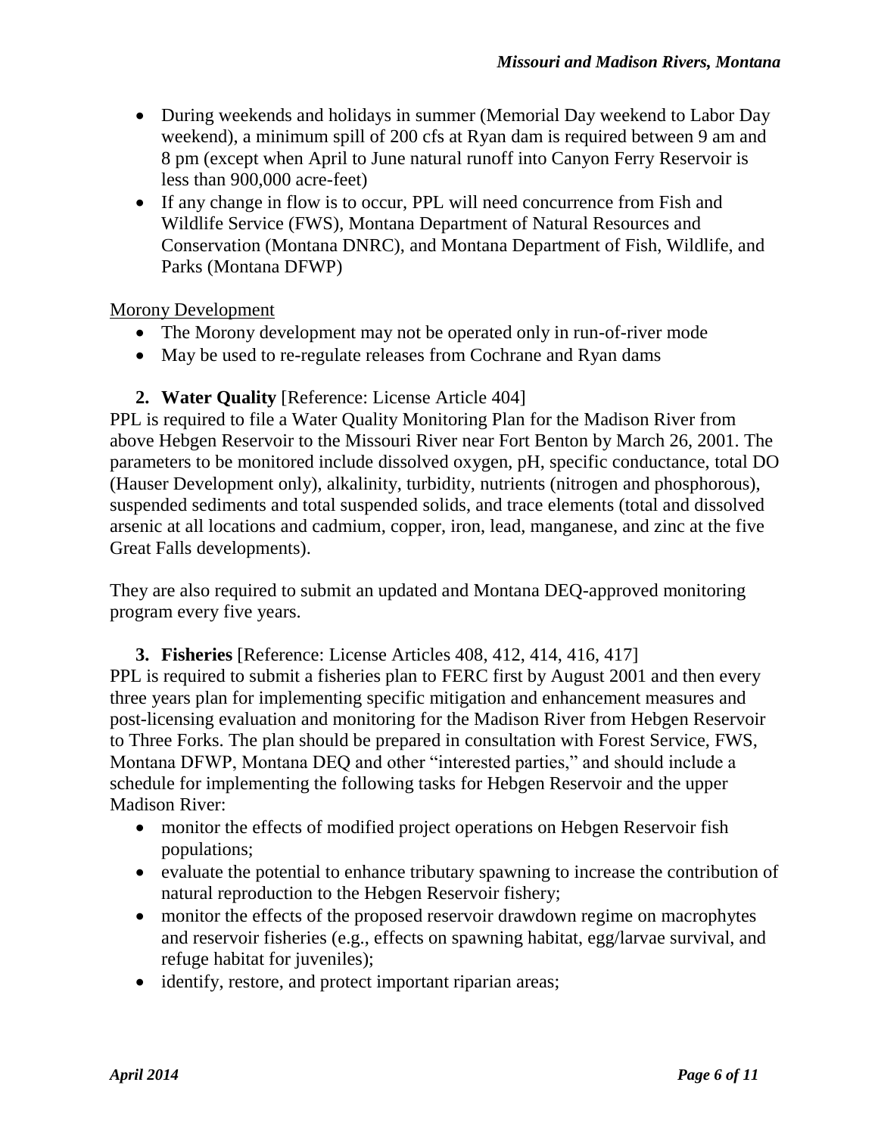- During weekends and holidays in summer (Memorial Day weekend to Labor Day weekend), a minimum spill of 200 cfs at Ryan dam is required between 9 am and 8 pm (except when April to June natural runoff into Canyon Ferry Reservoir is less than 900,000 acre-feet)
- If any change in flow is to occur, PPL will need concurrence from Fish and Wildlife Service (FWS), Montana Department of Natural Resources and Conservation (Montana DNRC), and Montana Department of Fish, Wildlife, and Parks (Montana DFWP)

### Morony Development

- The Morony development may not be operated only in run-of-river mode
- May be used to re-regulate releases from Cochrane and Ryan dams

### **2. Water Quality** [Reference: License Article 404]

PPL is required to file a Water Quality Monitoring Plan for the Madison River from above Hebgen Reservoir to the Missouri River near Fort Benton by March 26, 2001. The parameters to be monitored include dissolved oxygen, pH, specific conductance, total DO (Hauser Development only), alkalinity, turbidity, nutrients (nitrogen and phosphorous), suspended sediments and total suspended solids, and trace elements (total and dissolved arsenic at all locations and cadmium, copper, iron, lead, manganese, and zinc at the five Great Falls developments).

They are also required to submit an updated and Montana DEQ-approved monitoring program every five years.

**3. Fisheries** [Reference: License Articles 408, 412, 414, 416, 417]

PPL is required to submit a fisheries plan to FERC first by August 2001 and then every three years plan for implementing specific mitigation and enhancement measures and post-licensing evaluation and monitoring for the Madison River from Hebgen Reservoir to Three Forks. The plan should be prepared in consultation with Forest Service, FWS, Montana DFWP, Montana DEQ and other "interested parties," and should include a schedule for implementing the following tasks for Hebgen Reservoir and the upper Madison River:

- monitor the effects of modified project operations on Hebgen Reservoir fish populations;
- evaluate the potential to enhance tributary spawning to increase the contribution of natural reproduction to the Hebgen Reservoir fishery;
- monitor the effects of the proposed reservoir drawdown regime on macrophytes and reservoir fisheries (e.g., effects on spawning habitat, egg/larvae survival, and refuge habitat for juveniles);
- identify, restore, and protect important riparian areas;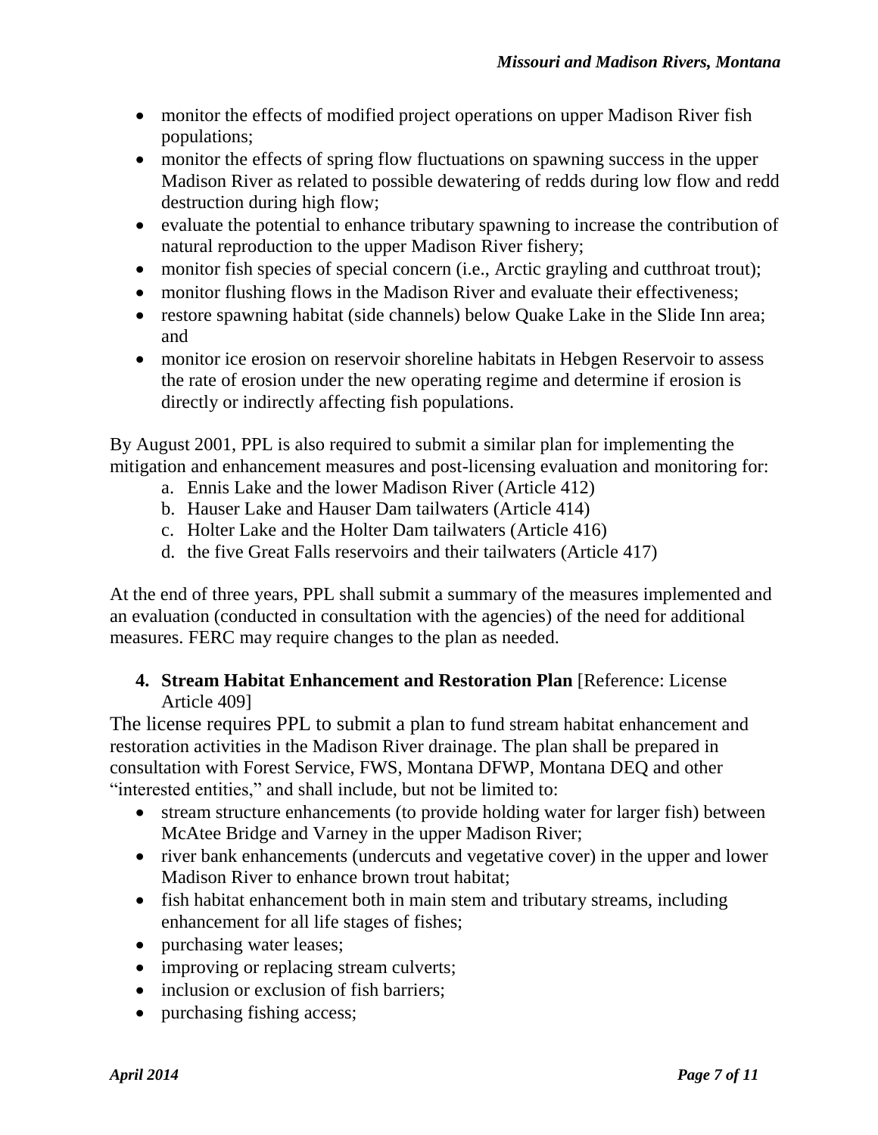- monitor the effects of modified project operations on upper Madison River fish populations;
- monitor the effects of spring flow fluctuations on spawning success in the upper Madison River as related to possible dewatering of redds during low flow and redd destruction during high flow;
- evaluate the potential to enhance tributary spawning to increase the contribution of natural reproduction to the upper Madison River fishery;
- monitor fish species of special concern (i.e., Arctic grayling and cutthroat trout);
- monitor flushing flows in the Madison River and evaluate their effectiveness;
- restore spawning habitat (side channels) below Quake Lake in the Slide Inn area; and
- monitor ice erosion on reservoir shoreline habitats in Hebgen Reservoir to assess the rate of erosion under the new operating regime and determine if erosion is directly or indirectly affecting fish populations.

By August 2001, PPL is also required to submit a similar plan for implementing the mitigation and enhancement measures and post-licensing evaluation and monitoring for:

- a. Ennis Lake and the lower Madison River (Article 412)
- b. Hauser Lake and Hauser Dam tailwaters (Article 414)
- c. Holter Lake and the Holter Dam tailwaters (Article 416)
- d. the five Great Falls reservoirs and their tailwaters (Article 417)

At the end of three years, PPL shall submit a summary of the measures implemented and an evaluation (conducted in consultation with the agencies) of the need for additional measures. FERC may require changes to the plan as needed.

## **4. Stream Habitat Enhancement and Restoration Plan** [Reference: License Article 409]

The license requires PPL to submit a plan to fund stream habitat enhancement and restoration activities in the Madison River drainage. The plan shall be prepared in consultation with Forest Service, FWS, Montana DFWP, Montana DEQ and other "interested entities," and shall include, but not be limited to:

- stream structure enhancements (to provide holding water for larger fish) between McAtee Bridge and Varney in the upper Madison River;
- river bank enhancements (undercuts and vegetative cover) in the upper and lower Madison River to enhance brown trout habitat;
- fish habitat enhancement both in main stem and tributary streams, including enhancement for all life stages of fishes;
- purchasing water leases;
- improving or replacing stream culverts;
- inclusion or exclusion of fish barriers;
- purchasing fishing access;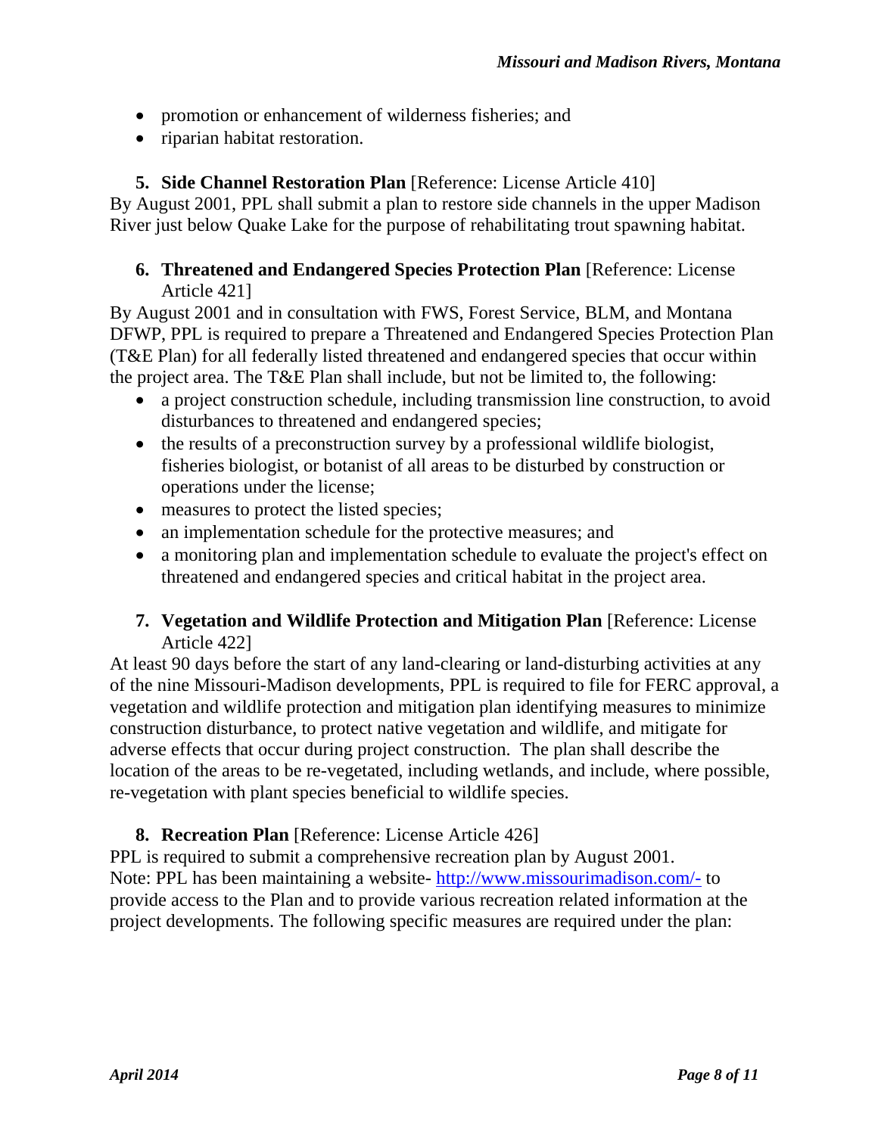- promotion or enhancement of wilderness fisheries; and
- riparian habitat restoration.

# **5. Side Channel Restoration Plan** [Reference: License Article 410]

By August 2001, PPL shall submit a plan to restore side channels in the upper Madison River just below Quake Lake for the purpose of rehabilitating trout spawning habitat.

## **6. Threatened and Endangered Species Protection Plan** [Reference: License Article 421]

By August 2001 and in consultation with FWS, Forest Service, BLM, and Montana DFWP, PPL is required to prepare a Threatened and Endangered Species Protection Plan (T&E Plan) for all federally listed threatened and endangered species that occur within the project area. The T&E Plan shall include, but not be limited to, the following:

- a project construction schedule, including transmission line construction, to avoid disturbances to threatened and endangered species;
- the results of a preconstruction survey by a professional wildlife biologist, fisheries biologist, or botanist of all areas to be disturbed by construction or operations under the license;
- measures to protect the listed species;
- an implementation schedule for the protective measures; and
- a monitoring plan and implementation schedule to evaluate the project's effect on threatened and endangered species and critical habitat in the project area.

## **7. Vegetation and Wildlife Protection and Mitigation Plan** [Reference: License Article 422]

At least 90 days before the start of any land-clearing or land-disturbing activities at any of the nine Missouri-Madison developments, PPL is required to file for FERC approval, a vegetation and wildlife protection and mitigation plan identifying measures to minimize construction disturbance, to protect native vegetation and wildlife, and mitigate for adverse effects that occur during project construction. The plan shall describe the location of the areas to be re-vegetated, including wetlands, and include, where possible, re-vegetation with plant species beneficial to wildlife species.

# **8. Recreation Plan** [Reference: License Article 426]

PPL is required to submit a comprehensive recreation plan by August 2001. Note: PPL has been maintaining a website- <http://www.missourimadison.com/-> to provide access to the Plan and to provide various recreation related information at the project developments. The following specific measures are required under the plan: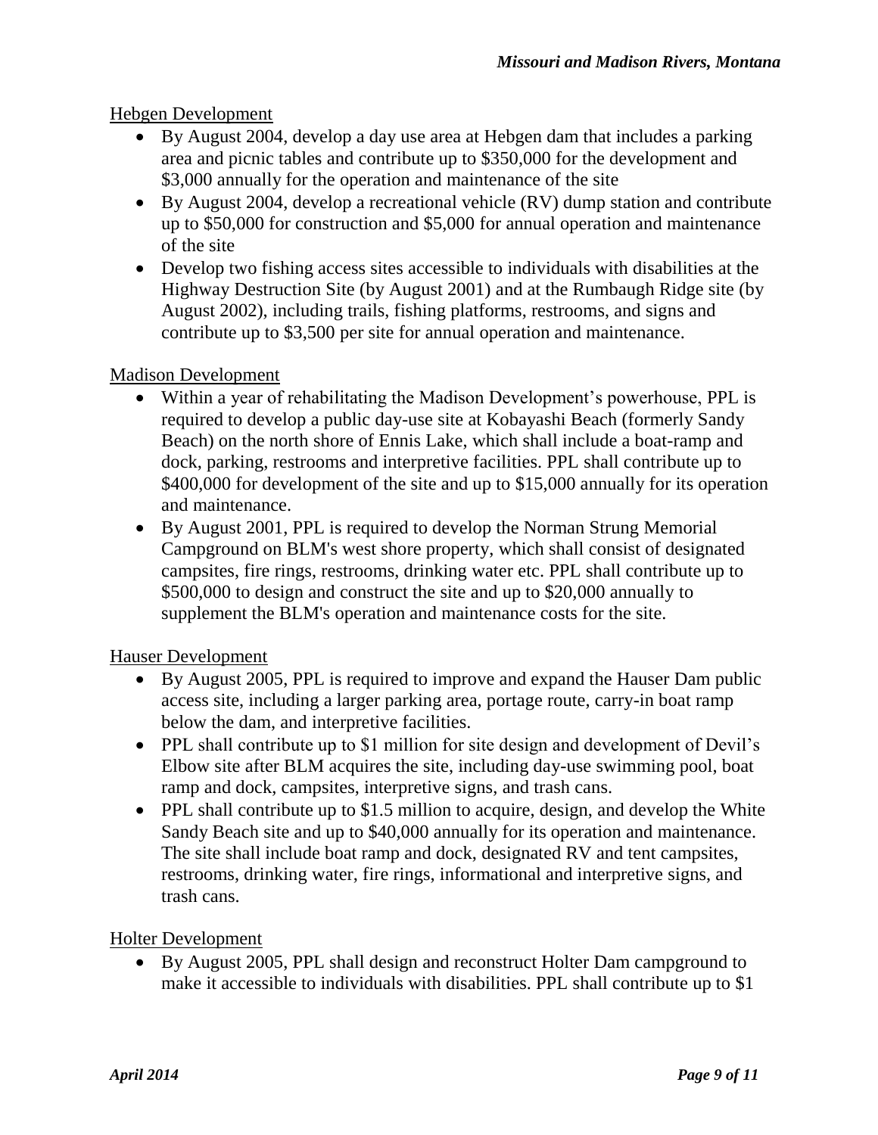## Hebgen Development

- By August 2004, develop a day use area at Hebgen dam that includes a parking area and picnic tables and contribute up to \$350,000 for the development and \$3,000 annually for the operation and maintenance of the site
- By August 2004, develop a recreational vehicle (RV) dump station and contribute up to \$50,000 for construction and \$5,000 for annual operation and maintenance of the site
- Develop two fishing access sites accessible to individuals with disabilities at the Highway Destruction Site (by August 2001) and at the Rumbaugh Ridge site (by August 2002), including trails, fishing platforms, restrooms, and signs and contribute up to \$3,500 per site for annual operation and maintenance.

### Madison Development

- Within a year of rehabilitating the Madison Development's powerhouse, PPL is required to develop a public day-use site at Kobayashi Beach (formerly Sandy Beach) on the north shore of Ennis Lake, which shall include a boat-ramp and dock, parking, restrooms and interpretive facilities. PPL shall contribute up to \$400,000 for development of the site and up to \$15,000 annually for its operation and maintenance.
- By August 2001, PPL is required to develop the Norman Strung Memorial Campground on BLM's west shore property, which shall consist of designated campsites, fire rings, restrooms, drinking water etc. PPL shall contribute up to \$500,000 to design and construct the site and up to \$20,000 annually to supplement the BLM's operation and maintenance costs for the site.

## Hauser Development

- By August 2005, PPL is required to improve and expand the Hauser Dam public access site, including a larger parking area, portage route, carry-in boat ramp below the dam, and interpretive facilities.
- PPL shall contribute up to \$1 million for site design and development of Devil's Elbow site after BLM acquires the site, including day-use swimming pool, boat ramp and dock, campsites, interpretive signs, and trash cans.
- PPL shall contribute up to \$1.5 million to acquire, design, and develop the White Sandy Beach site and up to \$40,000 annually for its operation and maintenance. The site shall include boat ramp and dock, designated RV and tent campsites, restrooms, drinking water, fire rings, informational and interpretive signs, and trash cans.

### Holter Development

 By August 2005, PPL shall design and reconstruct Holter Dam campground to make it accessible to individuals with disabilities. PPL shall contribute up to \$1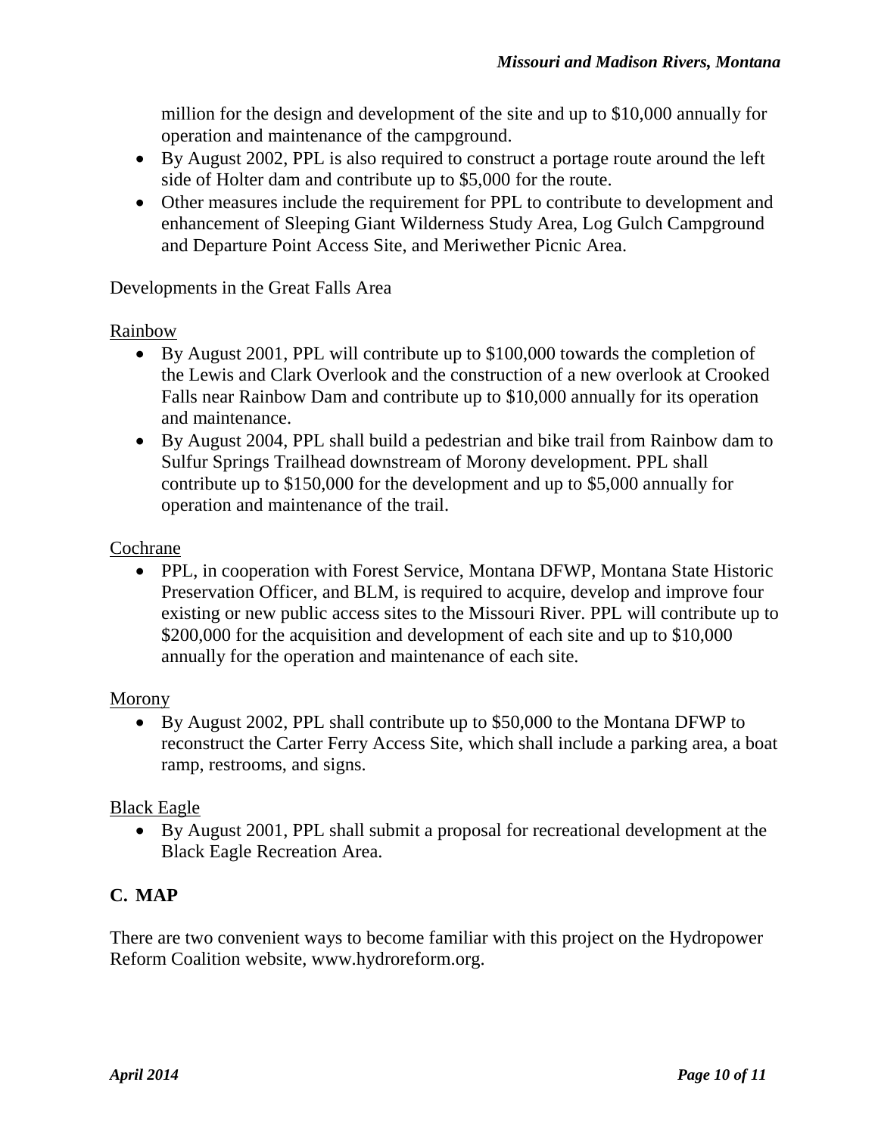million for the design and development of the site and up to \$10,000 annually for operation and maintenance of the campground.

- By August 2002, PPL is also required to construct a portage route around the left side of Holter dam and contribute up to \$5,000 for the route.
- Other measures include the requirement for PPL to contribute to development and enhancement of Sleeping Giant Wilderness Study Area, Log Gulch Campground and Departure Point Access Site, and Meriwether Picnic Area.

Developments in the Great Falls Area

### Rainbow

- By August 2001, PPL will contribute up to \$100,000 towards the completion of the Lewis and Clark Overlook and the construction of a new overlook at Crooked Falls near Rainbow Dam and contribute up to \$10,000 annually for its operation and maintenance.
- By August 2004, PPL shall build a pedestrian and bike trail from Rainbow dam to Sulfur Springs Trailhead downstream of Morony development. PPL shall contribute up to \$150,000 for the development and up to \$5,000 annually for operation and maintenance of the trail.

### Cochrane

 PPL, in cooperation with Forest Service, Montana DFWP, Montana State Historic Preservation Officer, and BLM, is required to acquire, develop and improve four existing or new public access sites to the Missouri River. PPL will contribute up to \$200,000 for the acquisition and development of each site and up to \$10,000 annually for the operation and maintenance of each site.

### Morony

 By August 2002, PPL shall contribute up to \$50,000 to the Montana DFWP to reconstruct the Carter Ferry Access Site, which shall include a parking area, a boat ramp, restrooms, and signs.

### Black Eagle

 By August 2001, PPL shall submit a proposal for recreational development at the Black Eagle Recreation Area.

# **C. MAP**

There are two convenient ways to become familiar with this project on the Hydropower Reform Coalition website, www.hydroreform.org.